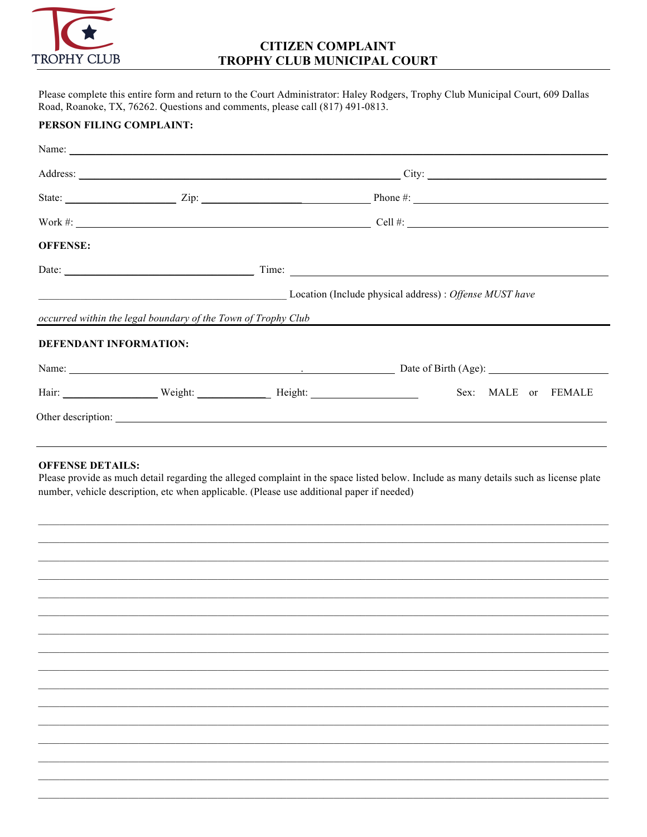

PERSON FILING COMPLAINT:

## **CITIZEN COMPLAINT** TROPHY CLUB MUNICIPAL COURT

Please complete this entire form and return to the Court Administrator: Haley Rodgers, Trophy Club Municipal Court, 609 Dallas Road, Roanoke, TX, 76262. Questions and comments, please call (817) 491-0813.

|                                                                | Address: City: City: City: City: City: City: City: City: City: City: City: City: City: City: City: City: City: City: City: City: City: City: City: City: City: City: City: City: City: City: City: City: City: City: City: Cit |  |  |  |  |  |  |
|----------------------------------------------------------------|--------------------------------------------------------------------------------------------------------------------------------------------------------------------------------------------------------------------------------|--|--|--|--|--|--|
|                                                                |                                                                                                                                                                                                                                |  |  |  |  |  |  |
|                                                                | Work #: $\qquad \qquad \text{Cell } #:$                                                                                                                                                                                        |  |  |  |  |  |  |
| <b>OFFENSE:</b>                                                |                                                                                                                                                                                                                                |  |  |  |  |  |  |
|                                                                |                                                                                                                                                                                                                                |  |  |  |  |  |  |
| Location (Include physical address) : <i>Offense MUST have</i> |                                                                                                                                                                                                                                |  |  |  |  |  |  |
| occurred within the legal boundary of the Town of Trophy Club  |                                                                                                                                                                                                                                |  |  |  |  |  |  |
| <b>DEFENDANT INFORMATION:</b>                                  |                                                                                                                                                                                                                                |  |  |  |  |  |  |
|                                                                | Name: Date of Birth (Age): Date of Birth (Age):                                                                                                                                                                                |  |  |  |  |  |  |
| Hair: Weight: Weight: Height: Height: Sex: MALE or FEMALE      |                                                                                                                                                                                                                                |  |  |  |  |  |  |
|                                                                |                                                                                                                                                                                                                                |  |  |  |  |  |  |

## **OFFENSE DETAILS:**

Please provide as much detail regarding the alleged complaint in the space listed below. Include as many details such as license plate number, vehicle description, etc when applicable. (Please use additional paper if needed)